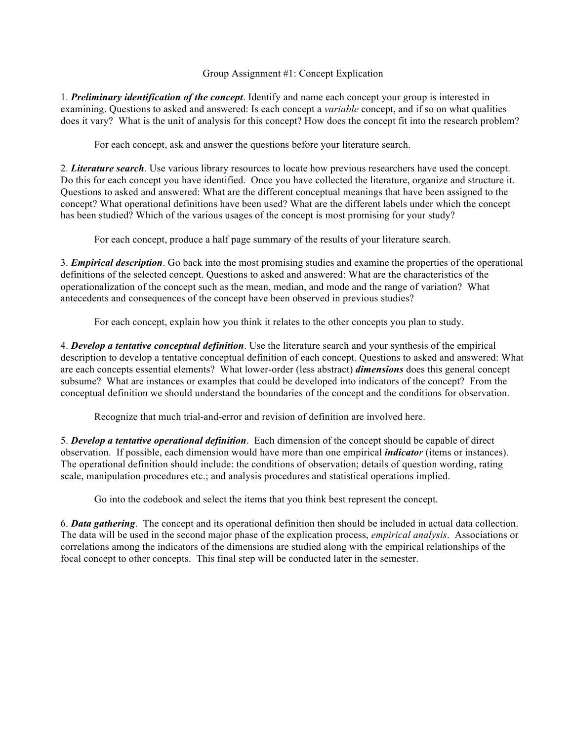## Group Assignment #1: Concept Explication

1. *Preliminary identification of the concept*. Identify and name each concept your group is interested in examining. Questions to asked and answered: Is each concept a *variable* concept, and if so on what qualities does it vary? What is the unit of analysis for this concept? How does the concept fit into the research problem?

For each concept, ask and answer the questions before your literature search.

2. *Literature search*. Use various library resources to locate how previous researchers have used the concept. Do this for each concept you have identified. Once you have collected the literature, organize and structure it. Questions to asked and answered: What are the different conceptual meanings that have been assigned to the concept? What operational definitions have been used? What are the different labels under which the concept has been studied? Which of the various usages of the concept is most promising for your study?

For each concept, produce a half page summary of the results of your literature search.

3. *Empirical description*. Go back into the most promising studies and examine the properties of the operational definitions of the selected concept. Questions to asked and answered: What are the characteristics of the operationalization of the concept such as the mean, median, and mode and the range of variation? What antecedents and consequences of the concept have been observed in previous studies?

For each concept, explain how you think it relates to the other concepts you plan to study.

4. *Develop a tentative conceptual definition*. Use the literature search and your synthesis of the empirical description to develop a tentative conceptual definition of each concept. Questions to asked and answered: What are each concepts essential elements? What lower-order (less abstract) *dimensions* does this general concept subsume? What are instances or examples that could be developed into indicators of the concept? From the conceptual definition we should understand the boundaries of the concept and the conditions for observation.

Recognize that much trial-and-error and revision of definition are involved here.

5. *Develop a tentative operational definition*. Each dimension of the concept should be capable of direct observation. If possible, each dimension would have more than one empirical *indicator* (items or instances). The operational definition should include: the conditions of observation; details of question wording, rating scale, manipulation procedures etc.; and analysis procedures and statistical operations implied.

Go into the codebook and select the items that you think best represent the concept.

6. *Data gathering*. The concept and its operational definition then should be included in actual data collection. The data will be used in the second major phase of the explication process, *empirical analysis*. Associations or correlations among the indicators of the dimensions are studied along with the empirical relationships of the focal concept to other concepts. This final step will be conducted later in the semester.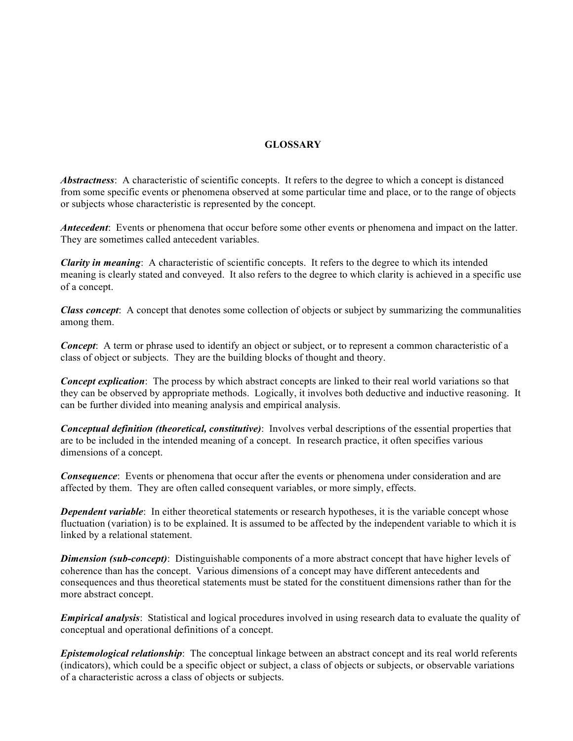## **GLOSSARY**

*Abstractness*: A characteristic of scientific concepts. It refers to the degree to which a concept is distanced from some specific events or phenomena observed at some particular time and place, or to the range of objects or subjects whose characteristic is represented by the concept.

*Antecedent*: Events or phenomena that occur before some other events or phenomena and impact on the latter. They are sometimes called antecedent variables.

*Clarity in meaning*: A characteristic of scientific concepts. It refers to the degree to which its intended meaning is clearly stated and conveyed. It also refers to the degree to which clarity is achieved in a specific use of a concept.

*Class concept*: A concept that denotes some collection of objects or subject by summarizing the communalities among them.

*Concept*: A term or phrase used to identify an object or subject, or to represent a common characteristic of a class of object or subjects. They are the building blocks of thought and theory.

*Concept explication*: The process by which abstract concepts are linked to their real world variations so that they can be observed by appropriate methods. Logically, it involves both deductive and inductive reasoning. It can be further divided into meaning analysis and empirical analysis.

*Conceptual definition (theoretical, constitutive)*: Involves verbal descriptions of the essential properties that are to be included in the intended meaning of a concept. In research practice, it often specifies various dimensions of a concept.

*Consequence*: Events or phenomena that occur after the events or phenomena under consideration and are affected by them. They are often called consequent variables, or more simply, effects.

*Dependent variable*: In either theoretical statements or research hypotheses, it is the variable concept whose fluctuation (variation) is to be explained. It is assumed to be affected by the independent variable to which it is linked by a relational statement.

*Dimension (sub-concept)*: Distinguishable components of a more abstract concept that have higher levels of coherence than has the concept. Various dimensions of a concept may have different antecedents and consequences and thus theoretical statements must be stated for the constituent dimensions rather than for the more abstract concept.

*Empirical analysis*: Statistical and logical procedures involved in using research data to evaluate the quality of conceptual and operational definitions of a concept.

*Epistemological relationship*: The conceptual linkage between an abstract concept and its real world referents (indicators), which could be a specific object or subject, a class of objects or subjects, or observable variations of a characteristic across a class of objects or subjects.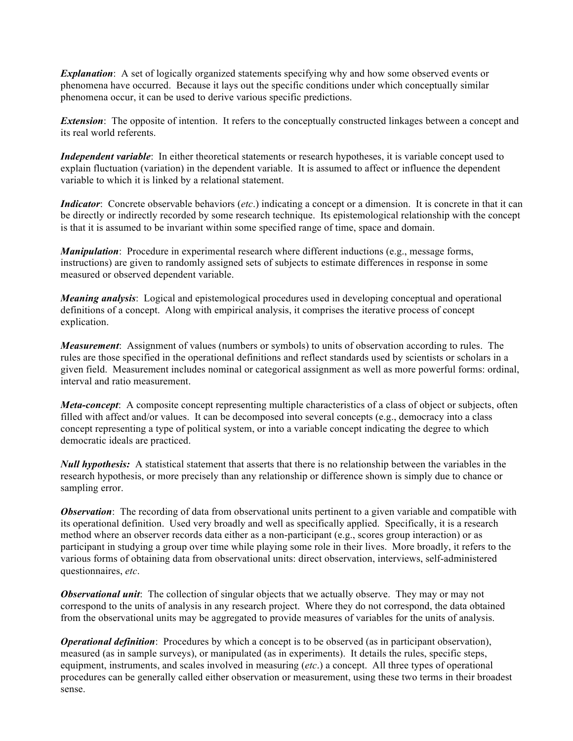*Explanation*: A set of logically organized statements specifying why and how some observed events or phenomena have occurred. Because it lays out the specific conditions under which conceptually similar phenomena occur, it can be used to derive various specific predictions.

*Extension*: The opposite of intention. It refers to the conceptually constructed linkages between a concept and its real world referents.

*Independent variable*: In either theoretical statements or research hypotheses, it is variable concept used to explain fluctuation (variation) in the dependent variable. It is assumed to affect or influence the dependent variable to which it is linked by a relational statement.

*Indicator*: Concrete observable behaviors (*etc*.) indicating a concept or a dimension. It is concrete in that it can be directly or indirectly recorded by some research technique. Its epistemological relationship with the concept is that it is assumed to be invariant within some specified range of time, space and domain.

*Manipulation*: Procedure in experimental research where different inductions (e.g., message forms, instructions) are given to randomly assigned sets of subjects to estimate differences in response in some measured or observed dependent variable.

*Meaning analysis*: Logical and epistemological procedures used in developing conceptual and operational definitions of a concept. Along with empirical analysis, it comprises the iterative process of concept explication.

*Measurement*: Assignment of values (numbers or symbols) to units of observation according to rules. The rules are those specified in the operational definitions and reflect standards used by scientists or scholars in a given field. Measurement includes nominal or categorical assignment as well as more powerful forms: ordinal, interval and ratio measurement.

*Meta-concept*: A composite concept representing multiple characteristics of a class of object or subjects, often filled with affect and/or values. It can be decomposed into several concepts (e.g., democracy into a class concept representing a type of political system, or into a variable concept indicating the degree to which democratic ideals are practiced.

*Null hypothesis:* A statistical statement that asserts that there is no relationship between the variables in the research hypothesis, or more precisely than any relationship or difference shown is simply due to chance or sampling error.

*Observation*: The recording of data from observational units pertinent to a given variable and compatible with its operational definition. Used very broadly and well as specifically applied. Specifically, it is a research method where an observer records data either as a non-participant (e.g., scores group interaction) or as participant in studying a group over time while playing some role in their lives. More broadly, it refers to the various forms of obtaining data from observational units: direct observation, interviews, self-administered questionnaires, *etc*.

*Observational unit*: The collection of singular objects that we actually observe. They may or may not correspond to the units of analysis in any research project. Where they do not correspond, the data obtained from the observational units may be aggregated to provide measures of variables for the units of analysis.

*Operational definition*: Procedures by which a concept is to be observed (as in participant observation), measured (as in sample surveys), or manipulated (as in experiments). It details the rules, specific steps, equipment, instruments, and scales involved in measuring (*etc*.) a concept. All three types of operational procedures can be generally called either observation or measurement, using these two terms in their broadest sense.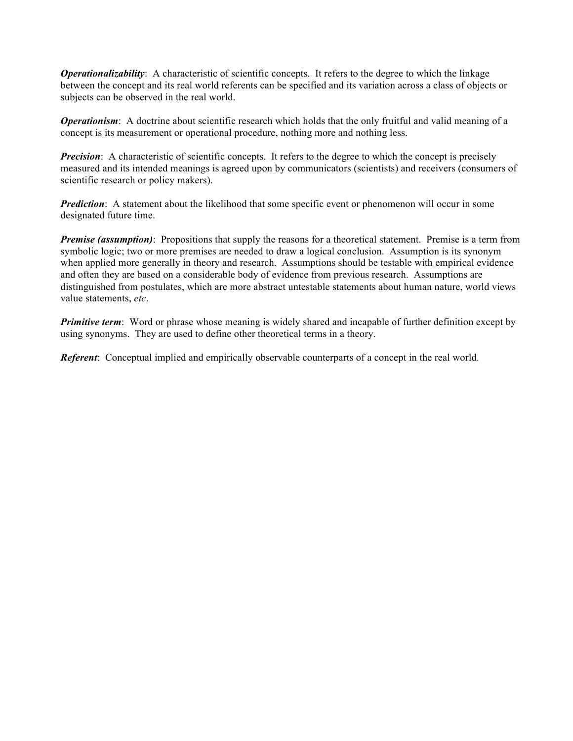*Operationalizability*: A characteristic of scientific concepts. It refers to the degree to which the linkage between the concept and its real world referents can be specified and its variation across a class of objects or subjects can be observed in the real world.

*Operationism*: A doctrine about scientific research which holds that the only fruitful and valid meaning of a concept is its measurement or operational procedure, nothing more and nothing less.

*Precision*: A characteristic of scientific concepts. It refers to the degree to which the concept is precisely measured and its intended meanings is agreed upon by communicators (scientists) and receivers (consumers of scientific research or policy makers).

*Prediction*: A statement about the likelihood that some specific event or phenomenon will occur in some designated future time.

*Premise (assumption)*: Propositions that supply the reasons for a theoretical statement. Premise is a term from symbolic logic; two or more premises are needed to draw a logical conclusion. Assumption is its synonym when applied more generally in theory and research. Assumptions should be testable with empirical evidence and often they are based on a considerable body of evidence from previous research. Assumptions are distinguished from postulates, which are more abstract untestable statements about human nature, world views value statements, *etc*.

*Primitive term*: Word or phrase whose meaning is widely shared and incapable of further definition except by using synonyms. They are used to define other theoretical terms in a theory.

*Referent*: Conceptual implied and empirically observable counterparts of a concept in the real world.